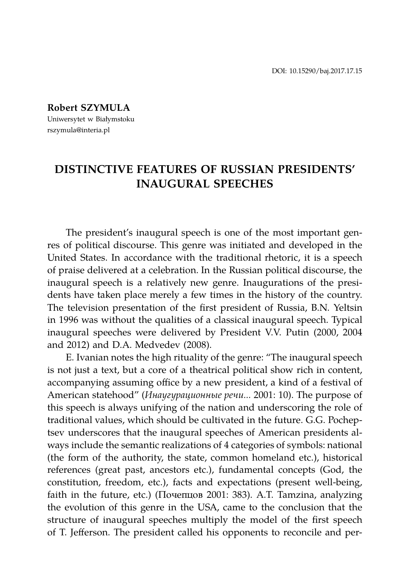**Robert SZYMULA**

Uniwersytet w Białymstoku rszymula@interia.pl

# **DISTINCTIVE FEATURES OF RUSSIAN PRESIDENTS' INAUGURAL SPEECHES**

The president's inaugural speech is one of the most important genres of political discourse. This genre was initiated and developed in the United States. In accordance with the traditional rhetoric, it is a speech of praise delivered at a celebration. In the Russian political discourse, the inaugural speech is a relatively new genre. Inaugurations of the presidents have taken place merely a few times in the history of the country. The television presentation of the first president of Russia, B.N. Yeltsin in 1996 was without the qualities of a classical inaugural speech. Typical inaugural speeches were delivered by President V.V. Putin (2000, 2004 and 2012) and D.A. Medvedev (2008).

E. Ivanian notes the high rituality of the genre: "The inaugural speech is not just a text, but a core of a theatrical political show rich in content, accompanying assuming office by a new president, a kind of a festival of American statehood" (*Инаугурационные речи...* 2001: 10). The purpose of this speech is always unifying of the nation and underscoring the role of traditional values, which should be cultivated in the future. G.G. Pocheptsev underscores that the inaugural speeches of American presidents always include the semantic realizations of 4 categories of symbols: national (the form of the authority, the state, common homeland etc.), historical references (great past, ancestors etc.), fundamental concepts (God, the constitution, freedom, etc.), facts and expectations (present well-being, faith in the future, etc.) (Почепцов 2001: 383). A.T. Tamzina, analyzing the evolution of this genre in the USA, came to the conclusion that the structure of inaugural speeches multiply the model of the first speech of T. Jefferson. The president called his opponents to reconcile and per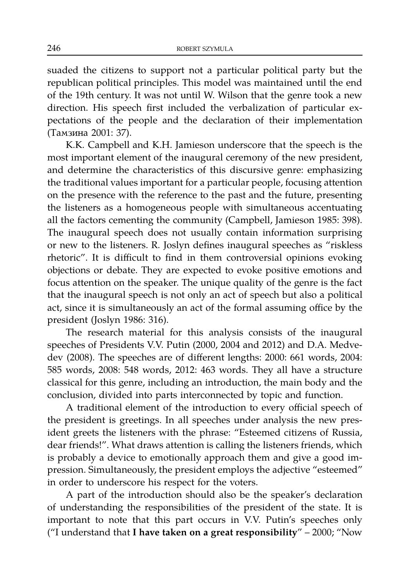suaded the citizens to support not a particular political party but the republican political principles. This model was maintained until the end of the 19th century. It was not until W. Wilson that the genre took a new direction. His speech first included the verbalization of particular expectations of the people and the declaration of their implementation (Тамзина 2001: 37).

K.K. Campbell and K.H. Jamieson underscore that the speech is the most important element of the inaugural ceremony of the new president, and determine the characteristics of this discursive genre: emphasizing the traditional values important for a particular people, focusing attention on the presence with the reference to the past and the future, presenting the listeners as a homogeneous people with simultaneous accentuating all the factors cementing the community (Campbell, Jamieson 1985: 398). The inaugural speech does not usually contain information surprising or new to the listeners. R. Joslyn defines inaugural speeches as "riskless rhetoric". It is difficult to find in them controversial opinions evoking objections or debate. They are expected to evoke positive emotions and focus attention on the speaker. The unique quality of the genre is the fact that the inaugural speech is not only an act of speech but also a political act, since it is simultaneously an act of the formal assuming office by the president (Joslyn 1986: 316).

The research material for this analysis consists of the inaugural speeches of Presidents V.V. Putin (2000, 2004 and 2012) and D.A. Medvedev (2008). The speeches are of different lengths: 2000: 661 words, 2004: 585 words, 2008: 548 words, 2012: 463 words. They all have a structure classical for this genre, including an introduction, the main body and the conclusion, divided into parts interconnected by topic and function.

A traditional element of the introduction to every official speech of the president is greetings. In all speeches under analysis the new president greets the listeners with the phrase: "Esteemed citizens of Russia, dear friends!". What draws attention is calling the listeners friends, which is probably a device to emotionally approach them and give a good impression. Simultaneously, the president employs the adjective "esteemed" in order to underscore his respect for the voters.

A part of the introduction should also be the speaker's declaration of understanding the responsibilities of the president of the state. It is important to note that this part occurs in V.V. Putin's speeches only ("I understand that **I have taken on a great responsibility**" – 2000; "Now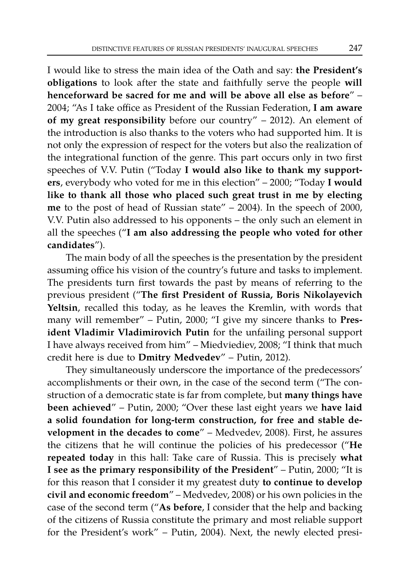I would like to stress the main idea of the Oath and say: **the President's obligations** to look after the state and faithfully serve the people **will henceforward be sacred for me and will be above all else as before**" – 2004; "As I take office as President of the Russian Federation, **I am aware of my great responsibility** before our country" – 2012). An element of the introduction is also thanks to the voters who had supported him. It is not only the expression of respect for the voters but also the realization of the integrational function of the genre. This part occurs only in two first speeches of V.V. Putin ("Today **I would also like to thank my supporters**, everybody who voted for me in this election" – 2000; "Today **I would like to thank all those who placed such great trust in me by electing me** to the post of head of Russian state" – 2004). In the speech of 2000, V.V. Putin also addressed to his opponents – the only such an element in all the speeches ("**I am also addressing the people who voted for other candidates**").

The main body of all the speeches is the presentation by the president assuming office his vision of the country's future and tasks to implement. The presidents turn first towards the past by means of referring to the previous president ("**The first President of Russia, Boris Nikolayevich Yeltsin**, recalled this today, as he leaves the Kremlin, with words that many will remember" – Putin, 2000; "I give my sincere thanks to **President Vladimir Vladimirovich Putin** for the unfailing personal support I have always received from him" – Miedviediev, 2008; "I think that much credit here is due to **Dmitry Medvedev**" – Putin, 2012).

They simultaneously underscore the importance of the predecessors' accomplishments or their own, in the case of the second term ("The construction of a democratic state is far from complete, but **many things have been achieved**" – Putin, 2000; "Over these last eight years we **have laid a solid foundation for long-term construction, for free and stable development in the decades to come**" – Medvedev, 2008). First, he assures the citizens that he will continue the policies of his predecessor ("**He repeated today** in this hall: Take care of Russia. This is precisely **what I see as the primary responsibility of the President**" – Putin, 2000; "It is for this reason that I consider it my greatest duty **to continue to develop civil and economic freedom**" – Medvedev, 2008) or his own policies in the case of the second term ("**As before**, I consider that the help and backing of the citizens of Russia constitute the primary and most reliable support for the President's work" – Putin, 2004). Next, the newly elected presi-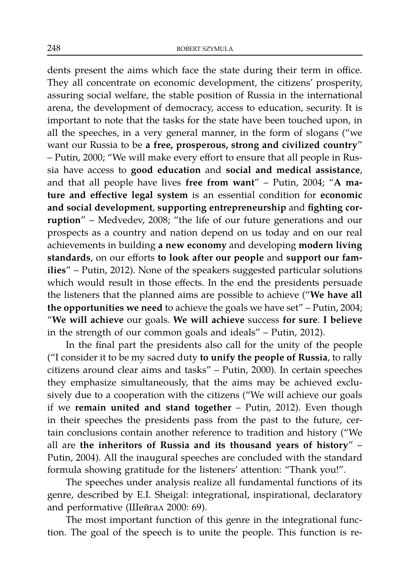dents present the aims which face the state during their term in office. They all concentrate on economic development, the citizens' prosperity, assuring social welfare, the stable position of Russia in the international arena, the development of democracy, access to education, security. It is important to note that the tasks for the state have been touched upon, in all the speeches, in a very general manner, in the form of slogans ("we want our Russia to be **a free, prosperous, strong and civilized country**" – Putin, 2000; "We will make every effort to ensure that all people in Russia have access to **good education** and **social and medical assistance**, and that all people have lives **free from want**" – Putin, 2004; "**A mature and effective legal system** is an essential condition for **economic and social development**, **supporting entrepreneurship** and **fighting corruption**" – Medvedev, 2008; "the life of our future generations and our prospects as a country and nation depend on us today and on our real achievements in building **a new economy** and developing **modern living standards**, on our efforts **to look after our people** and **support our families**" – Putin, 2012). None of the speakers suggested particular solutions which would result in those effects. In the end the presidents persuade the listeners that the planned aims are possible to achieve ("**We have all the opportunities we need** to achieve the goals we have set" – Putin, 2004; "**We will achieve** our goals. **We will achieve** success **for sure**. **I believe** in the strength of our common goals and ideals" – Putin, 2012).

In the final part the presidents also call for the unity of the people ("I consider it to be my sacred duty **to unify the people of Russia**, to rally citizens around clear aims and tasks" – Putin, 2000). In certain speeches they emphasize simultaneously, that the aims may be achieved exclusively due to a cooperation with the citizens ("We will achieve our goals if we **remain united and stand together** – Putin, 2012). Even though in their speeches the presidents pass from the past to the future, certain conclusions contain another reference to tradition and history ("We all are **the inheritors of Russia and its thousand years of history**" – Putin, 2004). All the inaugural speeches are concluded with the standard formula showing gratitude for the listeners' attention: "Thank you!".

The speeches under analysis realize all fundamental functions of its genre, described by E.I. Sheigal: integrational, inspirational, declaratory and performative (Шейгал 2000: 69).

The most important function of this genre in the integrational function. The goal of the speech is to unite the people. This function is re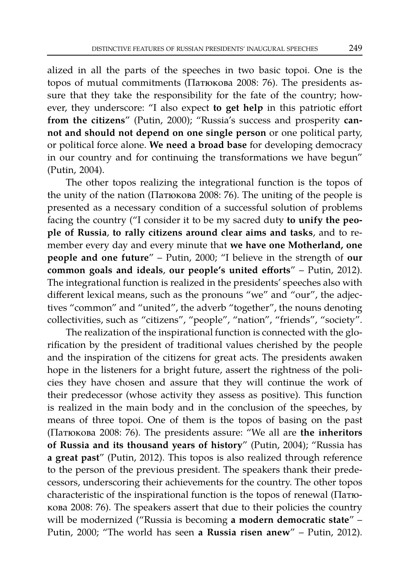alized in all the parts of the speeches in two basic topoi. One is the topos of mutual commitments (Патюкова 2008: 76). The presidents assure that they take the responsibility for the fate of the country; however, they underscore: "I also expect **to get help** in this patriotic effort **from the citizens**" (Putin, 2000); "Russia's success and prosperity **cannot and should not depend on one single person** or one political party, or political force alone. **We need a broad base** for developing democracy in our country and for continuing the transformations we have begun" (Putin, 2004).

The other topos realizing the integrational function is the topos of the unity of the nation (Патюкова 2008: 76). The uniting of the people is presented as a necessary condition of a successful solution of problems facing the country ("I consider it to be my sacred duty **to unify the people of Russia**, **to rally citizens around clear aims and tasks**, and to remember every day and every minute that **we have one Motherland, one people and one future**" – Putin, 2000; "I believe in the strength of **our common goals and ideals**, **our people's united efforts**" – Putin, 2012). The integrational function is realized in the presidents' speeches also with different lexical means, such as the pronouns "we" and "our", the adjectives "common" and "united", the adverb "together", the nouns denoting collectivities, such as "citizens", "people", "nation", "friends", "society".

The realization of the inspirational function is connected with the glorification by the president of traditional values cherished by the people and the inspiration of the citizens for great acts. The presidents awaken hope in the listeners for a bright future, assert the rightness of the policies they have chosen and assure that they will continue the work of their predecessor (whose activity they assess as positive). This function is realized in the main body and in the conclusion of the speeches, by means of three topoi. One of them is the topos of basing on the past (Патюкова 2008: 76). The presidents assure: "We all are **the inheritors of Russia and its thousand years of history**" (Putin, 2004); "Russia has **a great past**" (Putin, 2012). This topos is also realized through reference to the person of the previous president. The speakers thank their predecessors, underscoring their achievements for the country. The other topos characteristic of the inspirational function is the topos of renewal (Патюкова 2008: 76). The speakers assert that due to their policies the country will be modernized ("Russia is becoming **a modern democratic state**" – Putin, 2000; "The world has seen **a Russia risen anew**" – Putin, 2012).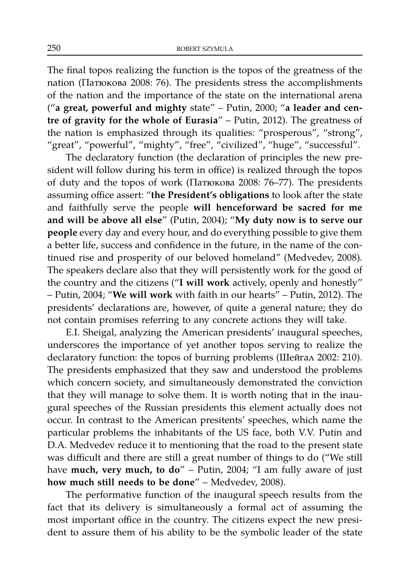The final topos realizing the function is the topos of the greatness of the nation (Патюкова 2008: 76). The presidents stress the accomplishments of the nation and the importance of the state on the international arena ("**a great, powerful and mighty** state" – Putin, 2000; "**a leader and centre of gravity for the whole of Eurasia**" – Putin, 2012). The greatness of the nation is emphasized through its qualities: "prosperous", "strong", "great", "powerful", "mighty", "free", "civilized", "huge", "successful".

The declaratory function (the declaration of principles the new president will follow during his term in office) is realized through the topos of duty and the topos of work (Патюкова 2008: 76–77). The presidents assuming office assert: "**the President's obligations** to look after the state and faithfully serve the people **will henceforward be sacred for me and will be above all else**" (Putin, 2004); "**My duty now is to serve our people** every day and every hour, and do everything possible to give them a better life, success and confidence in the future, in the name of the continued rise and prosperity of our beloved homeland" (Medvedev, 2008). The speakers declare also that they will persistently work for the good of the country and the citizens ("**I will work** actively, openly and honestly" – Putin, 2004; "**We will work** with faith in our hearts" – Putin, 2012). The presidents' declarations are, however, of quite a general nature; they do not contain promises referring to any concrete actions they will take.

E.I. Sheigal, analyzing the American presidents' inaugural speeches, underscores the importance of yet another topos serving to realize the declaratory function: the topos of burning problems (Шейгал 2002: 210). The presidents emphasized that they saw and understood the problems which concern society, and simultaneously demonstrated the conviction that they will manage to solve them. It is worth noting that in the inaugural speeches of the Russian presidents this element actually does not occur. In contrast to the American presitents' speeches, which name the particular problems the inhabitants of the US face, both V.V. Putin and D.A. Medvedev reduce it to mentioning that the road to the present state was difficult and there are still a great number of things to do ("We still have **much, very much, to do**" – Putin, 2004; "I am fully aware of just **how much still needs to be done**" – Medvedev, 2008).

The performative function of the inaugural speech results from the fact that its delivery is simultaneously a formal act of assuming the most important office in the country. The citizens expect the new president to assure them of his ability to be the symbolic leader of the state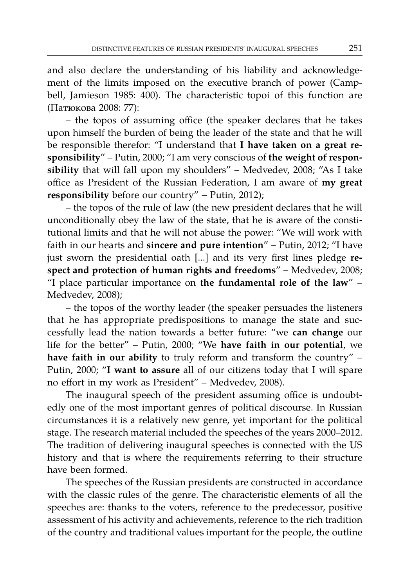and also declare the understanding of his liability and acknowledgement of the limits imposed on the executive branch of power (Campbell, Jamieson 1985: 400). The characteristic topoi of this function are (Патюкова 2008: 77):

– the topos of assuming office (the speaker declares that he takes upon himself the burden of being the leader of the state and that he will be responsible therefor: "I understand that **I have taken on a great responsibility**" – Putin, 2000; "I am very conscious of **the weight of responsibility** that will fall upon my shoulders" – Medvedev, 2008; "As I take office as President of the Russian Federation, I am aware of **my great responsibility** before our country" – Putin, 2012);

– the topos of the rule of law (the new president declares that he will unconditionally obey the law of the state, that he is aware of the constitutional limits and that he will not abuse the power: "We will work with faith in our hearts and **sincere and pure intention**" – Putin, 2012; "I have just sworn the presidential oath [...] and its very first lines pledge **respect and protection of human rights and freedoms**" – Medvedev, 2008; "I place particular importance on **the fundamental role of the law**" – Medvedev, 2008);

– the topos of the worthy leader (the speaker persuades the listeners that he has appropriate predispositions to manage the state and successfully lead the nation towards a better future: "we **can change** our life for the better" – Putin, 2000; "We **have faith in our potential**, we **have faith in our ability** to truly reform and transform the country" – Putin, 2000; "**I want to assure** all of our citizens today that I will spare no effort in my work as President" – Medvedev, 2008).

The inaugural speech of the president assuming office is undoubtedly one of the most important genres of political discourse. In Russian circumstances it is a relatively new genre, yet important for the political stage. The research material included the speeches of the years 2000–2012. The tradition of delivering inaugural speeches is connected with the US history and that is where the requirements referring to their structure have been formed.

The speeches of the Russian presidents are constructed in accordance with the classic rules of the genre. The characteristic elements of all the speeches are: thanks to the voters, reference to the predecessor, positive assessment of his activity and achievements, reference to the rich tradition of the country and traditional values important for the people, the outline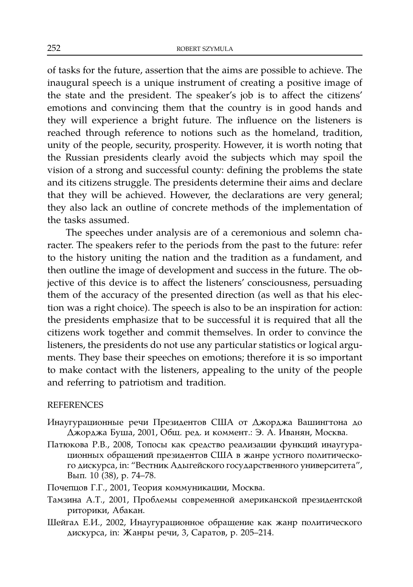of tasks for the future, assertion that the aims are possible to achieve. The inaugural speech is a unique instrument of creating a positive image of the state and the president. The speaker's job is to affect the citizens' emotions and convincing them that the country is in good hands and they will experience a bright future. The influence on the listeners is reached through reference to notions such as the homeland, tradition, unity of the people, security, prosperity. However, it is worth noting that the Russian presidents clearly avoid the subjects which may spoil the vision of a strong and successful county: defining the problems the state and its citizens struggle. The presidents determine their aims and declare that they will be achieved. However, the declarations are very general; they also lack an outline of concrete methods of the implementation of the tasks assumed.

The speeches under analysis are of a ceremonious and solemn character. The speakers refer to the periods from the past to the future: refer to the history uniting the nation and the tradition as a fundament, and then outline the image of development and success in the future. The objective of this device is to affect the listeners' consciousness, persuading them of the accuracy of the presented direction (as well as that his election was a right choice). The speech is also to be an inspiration for action: the presidents emphasize that to be successful it is required that all the citizens work together and commit themselves. In order to convince the listeners, the presidents do not use any particular statistics or logical arguments. They base their speeches on emotions; therefore it is so important to make contact with the listeners, appealing to the unity of the people and referring to patriotism and tradition.

## **REFERENCES**

- Инаугурационные речи Президентов США от Джорджа Вашингтона до Джорджа Буша, 2001, Общ. ред. и коммент.: Ә. А. Иванян, Москва.
- Патюкова Р.В., 2008, Топосы как средство реализации функций инаугурационных обращений президентов США в жанре устного политического дискурса, in: "Вестник Адыгейского государственного университета", Вып. 10 (38), p. 74–78.
- Почепцов Г.Г., 2001, Теория коммуникации, Москва.
- Тамзина А.Т., 2001, Проблемы современной американской президентской риторики, Абакан.
- Шейгал Е.И., 2002, Инаугурационное обращение как жанр политического дискурса, in: Жанры речи, 3, Саратов, p. 205–214.